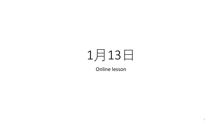## 月13日

Online lesson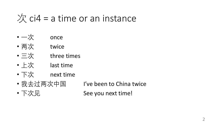## 次 ci4 = a time or an instance

- 一次 once
- 两次 twice
- 三次 three times
- 上次 last time
- 下次 next time
- 

• 我去过两次中国 I've been to China twice

• 下次见 See you next time!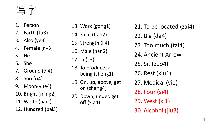写字

- 1. Person
- 2. Earth (tu3)
- 3. Also (ye3)
- 4. Female (nv3)
- 5. He
- 6. She
- 7. Ground (di4)
- 8. Sun (ri4)
- 9. Moon(yue4)
- 10. Bright (ming2)
- 11. White (bai2)
- 12. Hundred (bai3)
- 13. Work (gong1) 14. Field (tian2) 15. Strength (li4) 16. Male (nan2) 17. In (li3) 18. To produce, a being (sheng1) 19. On, up, above, get on (shang4) 20. Down, under, get off (xia4)
- 21. To be located (zai4) 22. Big (da4) 23. Too much (tai4) 24. Ancient Arrow 25. Sit (zuo4) 26. Rest (xiu1) 27. Medical (yi1) 28. Four (si4) 29. West (xi1) 30. Alcohol (jiu3)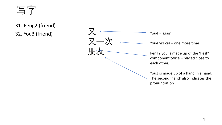写字

31. Peng2 (friend) 32. You3 (friend)

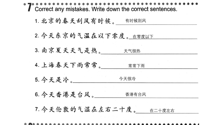| Correct any mistakes. Write down the correct sentences. |
|---------------------------------------------------------|
| 1. 北京的春天刮风有时候。 有时候刮风                                    |
| 2. 今天东京的气温在以下零度。在零度以下                                   |
| 3. 南京夏天天气是热。                                            |
| 4. 上海春天下雨常常。<br>常常下雨                                    |
| 今天很冷<br>5. 今天是冷。                                        |
| 6. 今天香港是台风。<br>香港有台风                                    |
| 7. 今天伦敦的气温在左右二十度。 在二十度左右                                |
|                                                         |